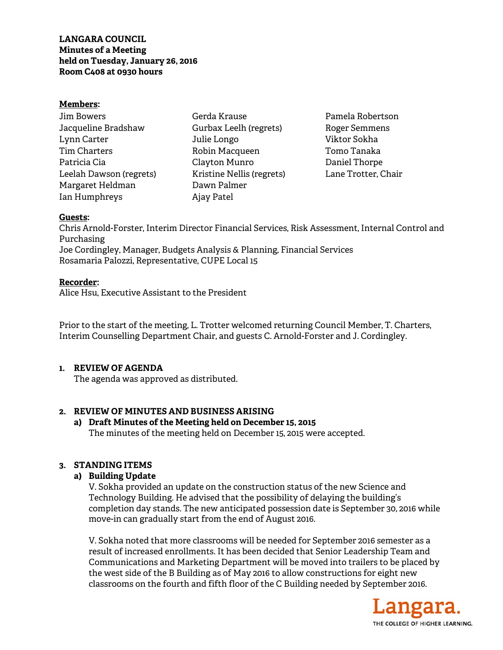#### **Members:**

| <b>Jim Bowers</b>       |
|-------------------------|
| Jacqueline Bradshaw     |
| Lynn Carter             |
| <b>Tim Charters</b>     |
| Patricia Cia            |
| Leelah Dawson (regrets) |
| Margaret Heldman        |
| Ian Humphreys           |

Gerda Krause Gurbax Leelh (regrets) Julie Longo Robin Macqueen Clayton Munro Kristine Nellis (regrets) Dawn Palmer Ajay Patel

Pamela Robertson Roger Semmens Viktor Sokha Tomo Tanaka Daniel Thorpe Lane Trotter, Chair

#### **Guests:**

Chris Arnold-Forster, Interim Director Financial Services, Risk Assessment, Internal Control and Purchasing Joe Cordingley, Manager, Budgets Analysis & Planning, Financial Services

Rosamaria Palozzi, Representative, CUPE Local 15

#### **Recorder:**

Alice Hsu, Executive Assistant to the President

Prior to the start of the meeting, L. Trotter welcomed returning Council Member, T. Charters, Interim Counselling Department Chair, and guests C. Arnold-Forster and J. Cordingley.

## **1. REVIEW OF AGENDA**

The agenda was approved as distributed.

## **2. REVIEW OF MINUTES AND BUSINESS ARISING**

**a) Draft Minutes of the Meeting held on December 15, 2015**  The minutes of the meeting held on December 15, 2015 were accepted.

## **3. STANDING ITEMS**

#### **a) Building Update**

V. Sokha provided an update on the construction status of the new Science and Technology Building. He advised that the possibility of delaying the building's completion day stands. The new anticipated possession date is September 30, 2016 while move-in can gradually start from the end of August 2016.

V. Sokha noted that more classrooms will be needed for September 2016 semester as a result of increased enrollments. It has been decided that Senior Leadership Team and Communications and Marketing Department will be moved into trailers to be placed by the west side of the B Building as of May 2016 to allow constructions for eight new classrooms on the fourth and fifth floor of the C Building needed by September 2016.

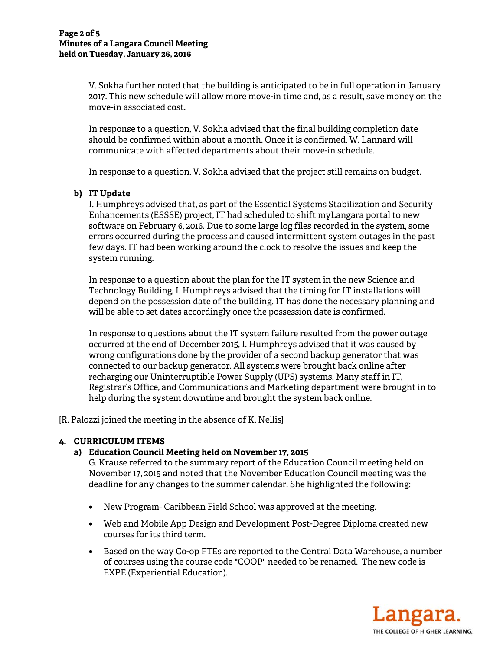V. Sokha further noted that the building is anticipated to be in full operation in January 2017. This new schedule will allow more move-in time and, as a result, save money on the move-in associated cost.

In response to a question, V. Sokha advised that the final building completion date should be confirmed within about a month. Once it is confirmed, W. Lannard will communicate with affected departments about their move-in schedule.

In response to a question, V. Sokha advised that the project still remains on budget.

## **b) IT Update**

I. Humphreys advised that, as part of the Essential Systems Stabilization and Security Enhancements (ESSSE) project, IT had scheduled to shift myLangara portal to new software on February 6, 2016. Due to some large log files recorded in the system, some errors occurred during the process and caused intermittent system outages in the past few days. IT had been working around the clock to resolve the issues and keep the system running.

In response to a question about the plan for the IT system in the new Science and Technology Building, I. Humphreys advised that the timing for IT installations will depend on the possession date of the building. IT has done the necessary planning and will be able to set dates accordingly once the possession date is confirmed.

In response to questions about the IT system failure resulted from the power outage occurred at the end of December 2015, I. Humphreys advised that it was caused by wrong configurations done by the provider of a second backup generator that was connected to our backup generator. All systems were brought back online after recharging our Uninterruptible Power Supply (UPS) systems. Many staff in IT, Registrar's Office, and Communications and Marketing department were brought in to help during the system downtime and brought the system back online.

[R. Palozzi joined the meeting in the absence of K. Nellis]

## **4. CURRICULUM ITEMS**

## **a) Education Council Meeting held on November 17, 2015**

G. Krause referred to the summary report of the Education Council meeting held on November 17, 2015 and noted that the November Education Council meeting was the deadline for any changes to the summer calendar. She highlighted the following:

- New Program- Caribbean Field School was approved at the meeting.
- Web and Mobile App Design and Development Post-Degree Diploma created new courses for its third term.
- Based on the way Co-op FTEs are reported to the Central Data Warehouse, a number of courses using the course code "COOP" needed to be renamed. The new code is EXPE (Experiential Education).

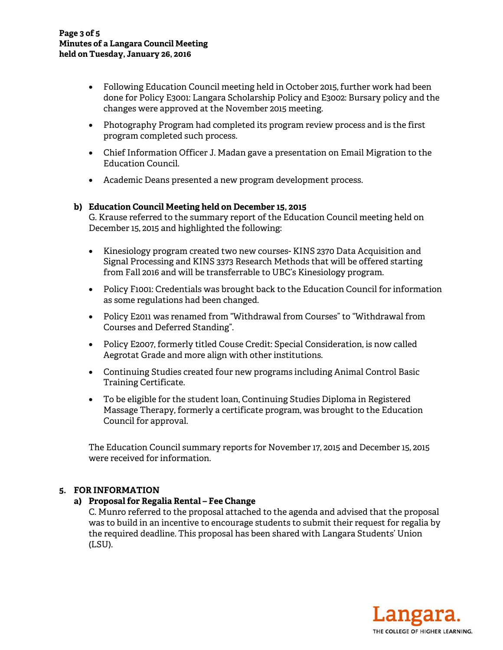- Following Education Council meeting held in October 2015, further work had been done for Policy E3001: Langara Scholarship Policy and E3002: Bursary policy and the changes were approved at the November 2015 meeting.
- Photography Program had completed its program review process and is the first program completed such process.
- Chief Information Officer J. Madan gave a presentation on Email Migration to the Education Council.
- Academic Deans presented a new program development process.

#### **b) Education Council Meeting held on December 15, 2015**

G. Krause referred to the summary report of the Education Council meeting held on December 15, 2015 and highlighted the following:

- Kinesiology program created two new courses- KINS 2370 Data Acquisition and Signal Processing and KINS 3373 Research Methods that will be offered starting from Fall 2016 and will be transferrable to UBC's Kinesiology program.
- Policy F1001: Credentials was brought back to the Education Council for information as some regulations had been changed.
- Policy E2011 was renamed from "Withdrawal from Courses" to "Withdrawal from Courses and Deferred Standing".
- Policy E2007, formerly titled Couse Credit: Special Consideration, is now called Aegrotat Grade and more align with other institutions.
- Continuing Studies created four new programs including Animal Control Basic Training Certificate.
- To be eligible for the student loan, Continuing Studies Diploma in Registered Massage Therapy, formerly a certificate program, was brought to the Education Council for approval.

 The Education Council summary reports for November 17, 2015 and December 15, 2015 were received for information.

#### **5. FOR INFORMATION**

## **a) Proposal for Regalia Rental – Fee Change**

C. Munro referred to the proposal attached to the agenda and advised that the proposal was to build in an incentive to encourage students to submit their request for regalia by the required deadline. This proposal has been shared with Langara Students' Union (LSU).

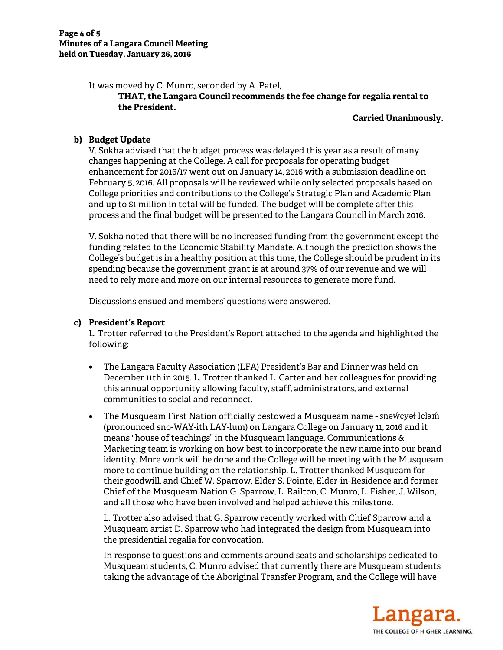It was moved by C. Munro, seconded by A. Patel,

#### **THAT, the Langara Council recommends the fee change for regalia rental to the President.**

#### **Carried Unanimously.**

# **b) Budget Update**

V. Sokha advised that the budget process was delayed this year as a result of many changes happening at the College. A call for proposals for operating budget enhancement for 2016/17 went out on January 14, 2016 with a submission deadline on February 5, 2016. All proposals will be reviewed while only selected proposals based on College priorities and contributions to the College's Strategic Plan and Academic Plan and up to \$1 million in total will be funded. The budget will be complete after this process and the final budget will be presented to the Langara Council in March 2016.

V. Sokha noted that there will be no increased funding from the government except the funding related to the Economic Stability Mandate. Although the prediction shows the College's budget is in a healthy position at this time, the College should be prudent in its spending because the government grant is at around 37% of our revenue and we will need to rely more and more on our internal resources to generate more fund.

Discussions ensued and members' questions were answered.

## **c) President's Report**

L. Trotter referred to the President's Report attached to the agenda and highlighted the following:

- The Langara Faculty Association (LFA) President's Bar and Dinner was held on December 11th in 2015. L. Trotter thanked L. Carter and her colleagues for providing this annual opportunity allowing faculty, staff, administrators, and external communities to social and reconnect.
- The Musqueam First Nation officially bestowed a Musqueam name snəweyəł leləm (pronounced sno-WAY-ith LAY-lum) on Langara College on January 11, 2016 and it means "house of teachings" in the Musqueam language. Communications & Marketing team is working on how best to incorporate the new name into our brand identity. More work will be done and the College will be meeting with the Musqueam more to continue building on the relationship. L. Trotter thanked Musqueam for their goodwill, and Chief W. Sparrow, Elder S. Pointe, Elder-in-Residence and former Chief of the Musqueam Nation G. Sparrow, L. Railton, C. Munro, L. Fisher, J. Wilson, and all those who have been involved and helped achieve this milestone.

L. Trotter also advised that G. Sparrow recently worked with Chief Sparrow and a Musqueam artist D. Sparrow who had integrated the design from Musqueam into the presidential regalia for convocation.

In response to questions and comments around seats and scholarships dedicated to Musqueam students, C. Munro advised that currently there are Musqueam students taking the advantage of the Aboriginal Transfer Program, and the College will have